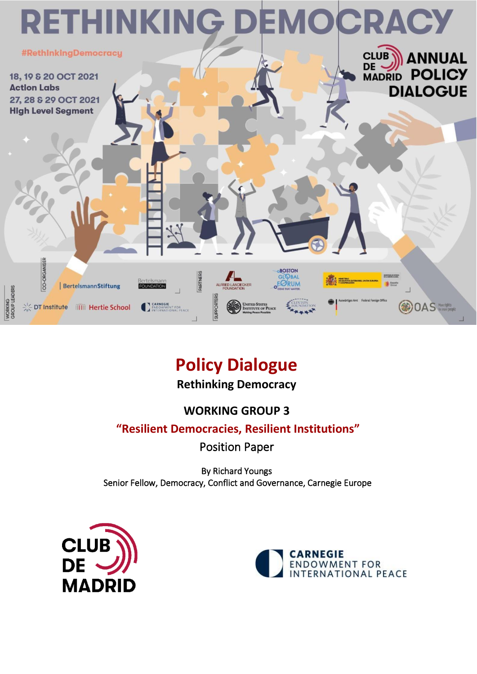

# **Policy Dialogue**

**Rethinking Democracy**

## **WORKING GROUP 3**

### **"Resilient Democracies, Resilient Institutions"**

Position Paper

By Richard Youngs Senior Fellow, Democracy, Conflict and Governance, Carnegie Europe



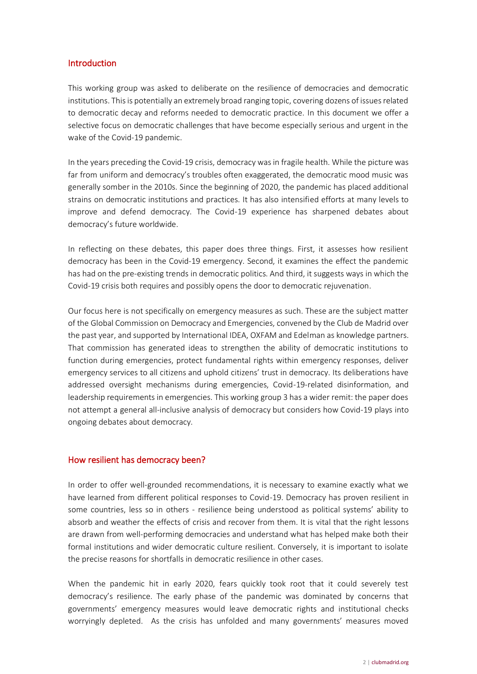#### Introduction

This working group was asked to deliberate on the resilience of democracies and democratic institutions. This is potentially an extremely broad ranging topic, covering dozens of issues related to democratic decay and reforms needed to democratic practice. In this document we offer a selective focus on democratic challenges that have become especially serious and urgent in the wake of the Covid-19 pandemic.

In the years preceding the Covid-19 crisis, democracy was in fragile health. While the picture was far from uniform and democracy's troubles often exaggerated, the democratic mood music was generally somber in the 2010s. Since the beginning of 2020, the pandemic has placed additional strains on democratic institutions and practices. It has also intensified efforts at many levels to improve and defend democracy. The Covid-19 experience has sharpened debates about democracy's future worldwide.

In reflecting on these debates, this paper does three things. First, it assesses how resilient democracy has been in the Covid-19 emergency. Second, it examines the effect the pandemic has had on the pre-existing trends in democratic politics. And third, it suggests ways in which the Covid-19 crisis both requires and possibly opens the door to democratic rejuvenation.

Our focus here is not specifically on emergency measures as such. These are the subject matter of the Global Commission on Democracy and Emergencies, convened by the Club de Madrid over the past year, and supported by International IDEA, OXFAM and Edelman as knowledge partners. That commission has generated ideas to strengthen the ability of democratic institutions to function during emergencies, protect fundamental rights within emergency responses, deliver emergency services to all citizens and uphold citizens' trust in democracy. Its deliberations have addressed oversight mechanisms during emergencies, Covid-19-related disinformation, and leadership requirements in emergencies. This working group 3 has a wider remit: the paper does not attempt a general all-inclusive analysis of democracy but considers how Covid-19 plays into ongoing debates about democracy.

#### How resilient has democracy been?

In order to offer well-grounded recommendations, it is necessary to examine exactly what we have learned from different political responses to Covid-19. Democracy has proven resilient in some countries, less so in others - resilience being understood as political systems' ability to absorb and weather the effects of crisis and recover from them. It is vital that the right lessons are drawn from well-performing democracies and understand what has helped make both their formal institutions and wider democratic culture resilient. Conversely, it is important to isolate the precise reasons for shortfalls in democratic resilience in other cases.

When the pandemic hit in early 2020, fears quickly took root that it could severely test democracy's resilience. The early phase of the pandemic was dominated by concerns that governments' emergency measures would leave democratic rights and institutional checks worryingly depleted. As the crisis has unfolded and many governments' measures moved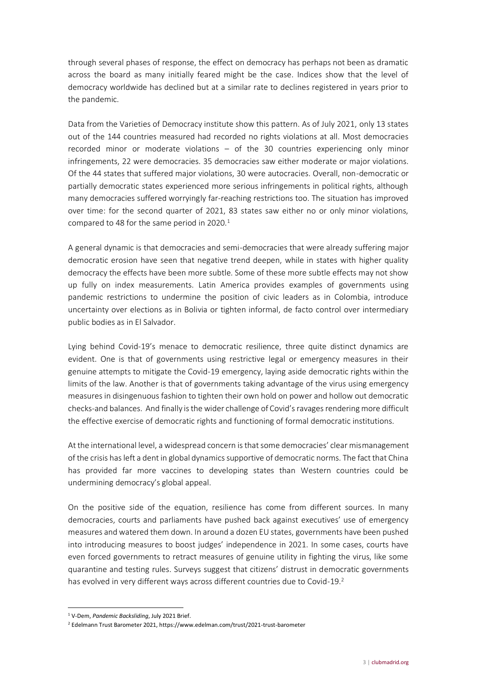through several phases of response, the effect on democracy has perhaps not been as dramatic across the board as many initially feared might be the case. Indices show that the level of democracy worldwide has declined but at a similar rate to declines registered in years prior to the pandemic.

Data from the Varieties of Democracy institute show this pattern. As of July 2021, only 13 states out of the 144 countries measured had recorded no rights violations at all. Most democracies recorded minor or moderate violations – of the 30 countries experiencing only minor infringements, 22 were democracies. 35 democracies saw either moderate or major violations. Of the 44 states that suffered major violations, 30 were autocracies. Overall, non-democratic or partially democratic states experienced more serious infringements in political rights, although many democracies suffered worryingly far-reaching restrictions too. The situation has improved over time: for the second quarter of 2021, 83 states saw either no or only minor violations, compared to 48 for the same period in 2020.<sup>1</sup>

A general dynamic is that democracies and semi-democracies that were already suffering major democratic erosion have seen that negative trend deepen, while in states with higher quality democracy the effects have been more subtle. Some of these more subtle effects may not show up fully on index measurements. Latin America provides examples of governments using pandemic restrictions to undermine the position of civic leaders as in Colombia, introduce uncertainty over elections as in Bolivia or tighten informal, de facto control over intermediary public bodies as in El Salvador.

Lying behind Covid-19's menace to democratic resilience, three quite distinct dynamics are evident. One is that of governments using restrictive legal or emergency measures in their genuine attempts to mitigate the Covid-19 emergency, laying aside democratic rights within the limits of the law. Another is that of governments taking advantage of the virus using emergency measures in disingenuous fashion to tighten their own hold on power and hollow out democratic checks-and balances. And finally is the wider challenge of Covid's ravages rendering more difficult the effective exercise of democratic rights and functioning of formal democratic institutions.

At the international level, a widespread concern is that some democracies' clear mismanagement of the crisis has left a dent in global dynamics supportive of democratic norms. The fact that China has provided far more vaccines to developing states than Western countries could be undermining democracy's global appeal.

On the positive side of the equation, resilience has come from different sources. In many democracies, courts and parliaments have pushed back against executives' use of emergency measures and watered them down. In around a dozen EU states, governments have been pushed into introducing measures to boost judges' independence in 2021. In some cases, courts have even forced governments to retract measures of genuine utility in fighting the virus, like some quarantine and testing rules. Surveys suggest that citizens' distrust in democratic governments has evolved in very different ways across different countries due to Covid-19.<sup>2</sup>

<sup>1</sup> V-Dem, *Pandemic Backsliding*, July 2021 Brief.

<sup>2</sup> Edelmann Trust Barometer 2021, https://www.edelman.com/trust/2021-trust-barometer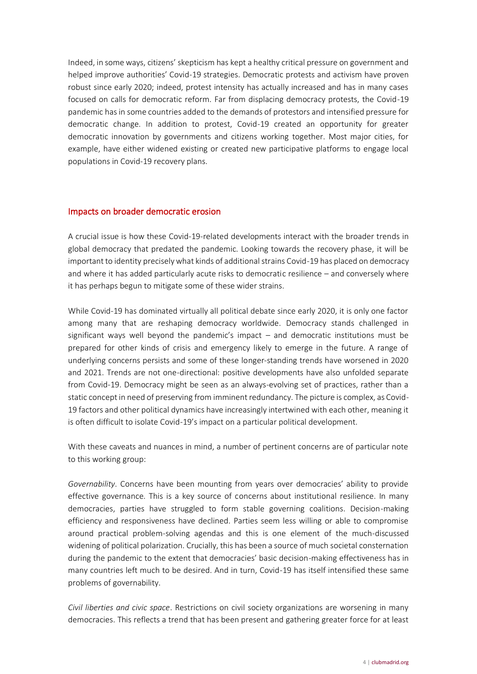Indeed, in some ways, citizens' skepticism has kept a healthy critical pressure on government and helped improve authorities' Covid-19 strategies. Democratic protests and activism have proven robust since early 2020; indeed, protest intensity has actually increased and has in many cases focused on calls for democratic reform. Far from displacing democracy protests, the Covid-19 pandemic has in some countries added to the demands of protestors and intensified pressure for democratic change. In addition to protest, Covid-19 created an opportunity for greater democratic innovation by governments and citizens working together. Most major cities, for example, have either widened existing or created new participative platforms to engage local populations in Covid-19 recovery plans.

#### Impacts on broader democratic erosion

A crucial issue is how these Covid-19-related developments interact with the broader trends in global democracy that predated the pandemic. Looking towards the recovery phase, it will be important to identity precisely what kinds of additional strains Covid-19 has placed on democracy and where it has added particularly acute risks to democratic resilience – and conversely where it has perhaps begun to mitigate some of these wider strains.

While Covid-19 has dominated virtually all political debate since early 2020, it is only one factor among many that are reshaping democracy worldwide. Democracy stands challenged in significant ways well beyond the pandemic's impact – and democratic institutions must be prepared for other kinds of crisis and emergency likely to emerge in the future. A range of underlying concerns persists and some of these longer-standing trends have worsened in 2020 and 2021. Trends are not one-directional: positive developments have also unfolded separate from Covid-19. Democracy might be seen as an always-evolving set of practices, rather than a static concept in need of preserving from imminent redundancy. The picture is complex, as Covid-19 factors and other political dynamics have increasingly intertwined with each other, meaning it is often difficult to isolate Covid-19's impact on a particular political development.

With these caveats and nuances in mind, a number of pertinent concerns are of particular note to this working group:

*Governability*. Concerns have been mounting from years over democracies' ability to provide effective governance. This is a key source of concerns about institutional resilience. In many democracies, parties have struggled to form stable governing coalitions. Decision-making efficiency and responsiveness have declined. Parties seem less willing or able to compromise around practical problem-solving agendas and this is one element of the much-discussed widening of political polarization. Crucially, this has been a source of much societal consternation during the pandemic to the extent that democracies' basic decision-making effectiveness has in many countries left much to be desired. And in turn, Covid-19 has itself intensified these same problems of governability.

*Civil liberties and civic space*. Restrictions on civil society organizations are worsening in many democracies. This reflects a trend that has been present and gathering greater force for at least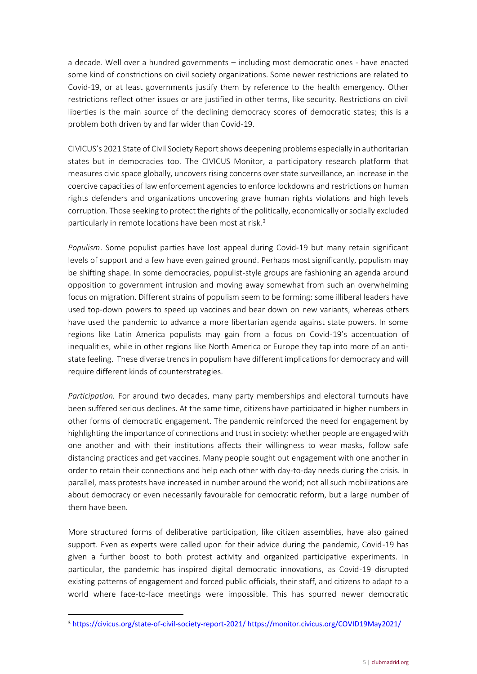a decade. Well over a hundred governments – including most democratic ones - have enacted some kind of constrictions on civil society organizations. Some newer restrictions are related to Covid-19, or at least governments justify them by reference to the health emergency. Other restrictions reflect other issues or are justified in other terms, like security. Restrictions on civil liberties is the main source of the declining democracy scores of democratic states; this is a problem both driven by and far wider than Covid-19.

CIVICUS's 2021 State of Civil Society Report shows deepening problems especially in authoritarian states but in democracies too. The CIVICUS Monitor, a participatory research platform that measures civic space globally, uncovers rising concerns over state surveillance, an increase in the coercive capacities of law enforcement agencies to enforce lockdowns and restrictions on human rights defenders and organizations uncovering grave human rights violations and high levels corruption. Those seeking to protect the rights of the politically, economically or socially excluded particularly in remote locations have been most at risk.<sup>3</sup>

*Populism*. Some populist parties have lost appeal during Covid-19 but many retain significant levels of support and a few have even gained ground. Perhaps most significantly, populism may be shifting shape. In some democracies, populist-style groups are fashioning an agenda around opposition to government intrusion and moving away somewhat from such an overwhelming focus on migration. Different strains of populism seem to be forming: some illiberal leaders have used top-down powers to speed up vaccines and bear down on new variants, whereas others have used the pandemic to advance a more libertarian agenda against state powers. In some regions like Latin America populists may gain from a focus on Covid-19's accentuation of inequalities, while in other regions like North America or Europe they tap into more of an antistate feeling. These diverse trends in populism have different implications for democracy and will require different kinds of counterstrategies.

*Participation.* For around two decades, many party memberships and electoral turnouts have been suffered serious declines. At the same time, citizens have participated in higher numbers in other forms of democratic engagement. The pandemic reinforced the need for engagement by highlighting the importance of connections and trust in society: whether people are engaged with one another and with their institutions affects their willingness to wear masks, follow safe distancing practices and get vaccines. Many people sought out engagement with one another in order to retain their connections and help each other with day-to-day needs during the crisis. In parallel, mass protests have increased in number around the world; not all such mobilizations are about democracy or even necessarily favourable for democratic reform, but a large number of them have been.

More structured forms of deliberative participation, like citizen assemblies, have also gained support. Even as experts were called upon for their advice during the pandemic, Covid-19 has given a further boost to both protest activity and organized participative experiments. In particular, the pandemic has inspired digital democratic innovations, as Covid-19 disrupted existing patterns of engagement and forced public officials, their staff, and citizens to adapt to a world where face-to-face meetings were impossible. This has spurred newer democratic

<sup>3</sup> <https://civicus.org/state-of-civil-society-report-2021/> <https://monitor.civicus.org/COVID19May2021/>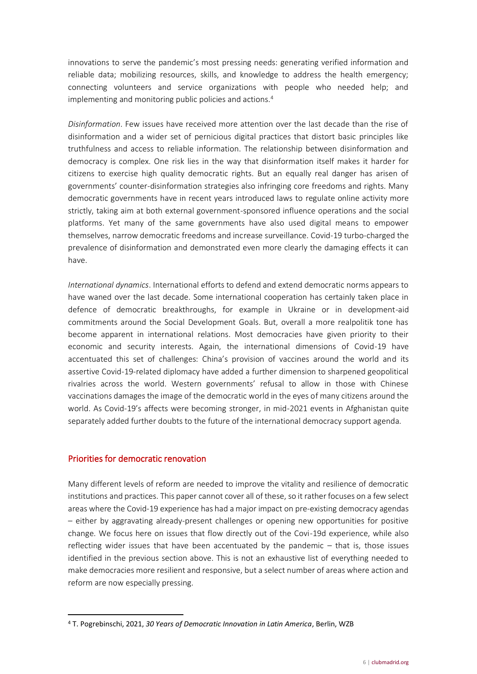innovations to serve the pandemic's most pressing needs: generating verified information and reliable data; mobilizing resources, skills, and knowledge to address the health emergency; connecting volunteers and service organizations with people who needed help; and implementing and monitoring public policies and actions.<sup>4</sup>

*Disinformation*. Few issues have received more attention over the last decade than the rise of disinformation and a wider set of pernicious digital practices that distort basic principles like truthfulness and access to reliable information. The relationship between disinformation and democracy is complex. One risk lies in the way that disinformation itself makes it harder for citizens to exercise high quality democratic rights. But an equally real danger has arisen of governments' counter-disinformation strategies also infringing core freedoms and rights. Many democratic governments have in recent years introduced laws to regulate online activity more strictly, taking aim at both external government-sponsored influence operations and the social platforms. Yet many of the same governments have also used digital means to empower themselves, narrow democratic freedoms and increase surveillance. Covid-19 turbo-charged the prevalence of disinformation and demonstrated even more clearly the damaging effects it can have.

*International dynamics*. International efforts to defend and extend democratic norms appears to have waned over the last decade. Some international cooperation has certainly taken place in defence of democratic breakthroughs, for example in Ukraine or in development-aid commitments around the Social Development Goals. But, overall a more realpolitik tone has become apparent in international relations. Most democracies have given priority to their economic and security interests. Again, the international dimensions of Covid-19 have accentuated this set of challenges: China's provision of vaccines around the world and its assertive Covid-19-related diplomacy have added a further dimension to sharpened geopolitical rivalries across the world. Western governments' refusal to allow in those with Chinese vaccinations damages the image of the democratic world in the eyes of many citizens around the world. As Covid-19's affects were becoming stronger, in mid-2021 events in Afghanistan quite separately added further doubts to the future of the international democracy support agenda.

#### Priorities for democratic renovation

Many different levels of reform are needed to improve the vitality and resilience of democratic institutions and practices. This paper cannot cover all of these, so it rather focuses on a few select areas where the Covid-19 experience has had a major impact on pre-existing democracy agendas – either by aggravating already-present challenges or opening new opportunities for positive change. We focus here on issues that flow directly out of the Covi-19d experience, while also reflecting wider issues that have been accentuated by the pandemic – that is, those issues identified in the previous section above. This is not an exhaustive list of everything needed to make democracies more resilient and responsive, but a select number of areas where action and reform are now especially pressing.

<sup>4</sup> T. Pogrebinschi, 2021, *30 Years of Democratic Innovation in Latin America*, Berlin, WZB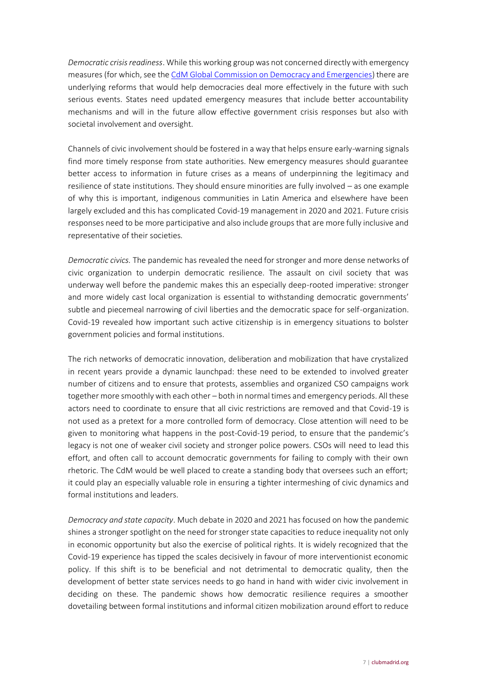*Democratic crisis readiness*. While this working group was not concerned directly with emergency measures (for which, see th[e CdM Global Commission on Democracy and Emergencies\)](http://www.clubmadrid.org/global-commission-on-democracy-and-emergencies/) there are underlying reforms that would help democracies deal more effectively in the future with such serious events. States need updated emergency measures that include better accountability mechanisms and will in the future allow effective government crisis responses but also with societal involvement and oversight.

Channels of civic involvement should be fostered in a way that helps ensure early-warning signals find more timely response from state authorities. New emergency measures should guarantee better access to information in future crises as a means of underpinning the legitimacy and resilience of state institutions. They should ensure minorities are fully involved – as one example of why this is important, indigenous communities in Latin America and elsewhere have been largely excluded and this has complicated Covid-19 management in 2020 and 2021. Future crisis responses need to be more participative and also include groups that are more fully inclusive and representative of their societies.

*Democratic civics.* The pandemic has revealed the need for stronger and more dense networks of civic organization to underpin democratic resilience. The assault on civil society that was underway well before the pandemic makes this an especially deep-rooted imperative: stronger and more widely cast local organization is essential to withstanding democratic governments' subtle and piecemeal narrowing of civil liberties and the democratic space for self-organization. Covid-19 revealed how important such active citizenship is in emergency situations to bolster government policies and formal institutions.

The rich networks of democratic innovation, deliberation and mobilization that have crystalized in recent years provide a dynamic launchpad: these need to be extended to involved greater number of citizens and to ensure that protests, assemblies and organized CSO campaigns work together more smoothly with each other – both in normal times and emergency periods. All these actors need to coordinate to ensure that all civic restrictions are removed and that Covid-19 is not used as a pretext for a more controlled form of democracy. Close attention will need to be given to monitoring what happens in the post-Covid-19 period, to ensure that the pandemic's legacy is not one of weaker civil society and stronger police powers. CSOs will need to lead this effort, and often call to account democratic governments for failing to comply with their own rhetoric. The CdM would be well placed to create a standing body that oversees such an effort; it could play an especially valuable role in ensuring a tighter intermeshing of civic dynamics and formal institutions and leaders.

*Democracy and state capacity*. Much debate in 2020 and 2021 has focused on how the pandemic shines a stronger spotlight on the need for stronger state capacities to reduce inequality not only in economic opportunity but also the exercise of political rights. It is widely recognized that the Covid-19 experience has tipped the scales decisively in favour of more interventionist economic policy. If this shift is to be beneficial and not detrimental to democratic quality, then the development of better state services needs to go hand in hand with wider civic involvement in deciding on these. The pandemic shows how democratic resilience requires a smoother dovetailing between formal institutions and informal citizen mobilization around effort to reduce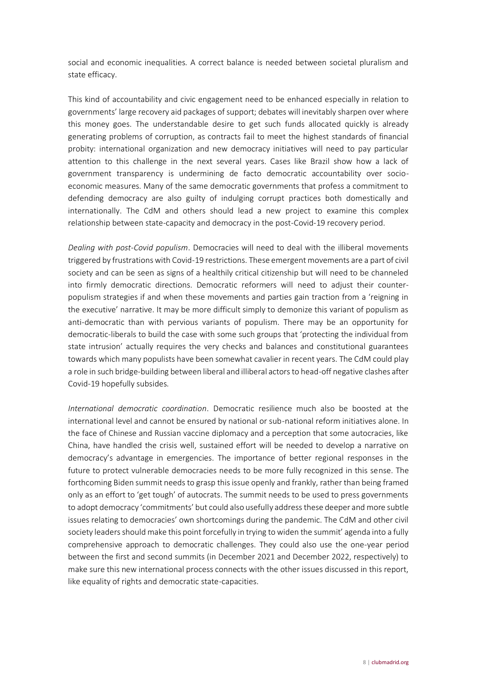social and economic inequalities. A correct balance is needed between societal pluralism and state efficacy.

This kind of accountability and civic engagement need to be enhanced especially in relation to governments' large recovery aid packages of support; debates will inevitably sharpen over where this money goes. The understandable desire to get such funds allocated quickly is already generating problems of corruption, as contracts fail to meet the highest standards of financial probity: international organization and new democracy initiatives will need to pay particular attention to this challenge in the next several years. Cases like Brazil show how a lack of government transparency is undermining de facto democratic accountability over socioeconomic measures. Many of the same democratic governments that profess a commitment to defending democracy are also guilty of indulging corrupt practices both domestically and internationally. The CdM and others should lead a new project to examine this complex relationship between state-capacity and democracy in the post-Covid-19 recovery period.

*Dealing with post-Covid populism*. Democracies will need to deal with the illiberal movements triggered by frustrations with Covid-19 restrictions. These emergent movements are a part of civil society and can be seen as signs of a healthily critical citizenship but will need to be channeled into firmly democratic directions. Democratic reformers will need to adjust their counterpopulism strategies if and when these movements and parties gain traction from a 'reigning in the executive' narrative. It may be more difficult simply to demonize this variant of populism as anti-democratic than with pervious variants of populism. There may be an opportunity for democratic-liberals to build the case with some such groups that 'protecting the individual from state intrusion' actually requires the very checks and balances and constitutional guarantees towards which many populists have been somewhat cavalier in recent years. The CdM could play a role in such bridge-building between liberal and illiberal actors to head-off negative clashes after Covid-19 hopefully subsides.

*International democratic coordination*. Democratic resilience much also be boosted at the international level and cannot be ensured by national or sub-national reform initiatives alone. In the face of Chinese and Russian vaccine diplomacy and a perception that some autocracies, like China, have handled the crisis well, sustained effort will be needed to develop a narrative on democracy's advantage in emergencies. The importance of better regional responses in the future to protect vulnerable democracies needs to be more fully recognized in this sense. The forthcoming Biden summit needs to grasp this issue openly and frankly, rather than being framed only as an effort to 'get tough' of autocrats. The summit needs to be used to press governments to adopt democracy 'commitments' but could also usefully address these deeper and more subtle issues relating to democracies' own shortcomings during the pandemic. The CdM and other civil society leaders should make this point forcefully in trying to widen the summit' agenda into a fully comprehensive approach to democratic challenges. They could also use the one-year period between the first and second summits (in December 2021 and December 2022, respectively) to make sure this new international process connects with the other issues discussed in this report, like equality of rights and democratic state-capacities.